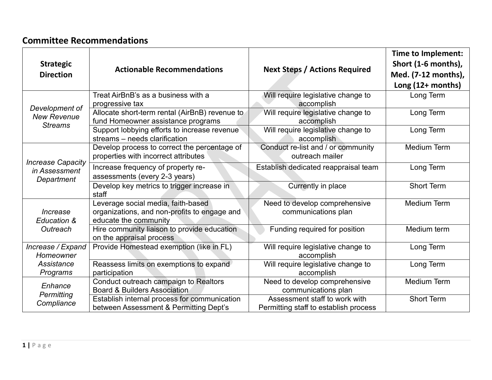## **Committee Recommendations**

| <b>Strategic</b><br><b>Direction</b>                     | <b>Actionable Recommendations</b>                                                                           | <b>Next Steps / Actions Required</b>                                   | Time to Implement:<br>Short (1-6 months),<br>Med. (7-12 months),<br>Long $(12+$ months) |
|----------------------------------------------------------|-------------------------------------------------------------------------------------------------------------|------------------------------------------------------------------------|-----------------------------------------------------------------------------------------|
| Development of<br><b>New Revenue</b><br><b>Streams</b>   | Treat AirBnB's as a business with a<br>progressive tax                                                      | Will require legislative change to<br>accomplish                       | Long Term                                                                               |
|                                                          | Allocate short-term rental (AirBnB) revenue to<br>fund Homeowner assistance programs                        | Will require legislative change to<br>accomplish                       | Long Term                                                                               |
|                                                          | Support lobbying efforts to increase revenue<br>streams – needs clarification                               | Will require legislative change to<br>accomplish                       | Long Term                                                                               |
| <b>Increase Capacity</b><br>in Assessment<br>Department  | Develop process to correct the percentage of<br>properties with incorrect attributes                        | Conduct re-list and / or community<br>outreach mailer                  | <b>Medium Term</b>                                                                      |
|                                                          | Increase frequency of property re-<br>assessments (every 2-3 years)                                         | Establish dedicated reappraisal team                                   | Long Term                                                                               |
|                                                          | Develop key metrics to trigger increase in<br>staff                                                         | Currently in place                                                     | <b>Short Term</b>                                                                       |
| Increase<br>Education &<br>Outreach                      | Leverage social media, faith-based<br>organizations, and non-profits to engage and<br>educate the community | Need to develop comprehensive<br>communications plan                   | <b>Medium Term</b>                                                                      |
|                                                          | Hire community liaison to provide education<br>on the appraisal process                                     | Funding required for position                                          | Medium term                                                                             |
| Increase / Expand<br>Homeowner<br>Assistance<br>Programs | Provide Homestead exemption (like in FL)                                                                    | Will require legislative change to<br>accomplish                       | Long Term                                                                               |
|                                                          | Reassess limits on exemptions to expand<br>participation                                                    | Will require legislative change to<br>accomplish                       | Long Term                                                                               |
| Enhance<br>Permitting<br>Compliance                      | Conduct outreach campaign to Realtors<br><b>Board &amp; Builders Association</b>                            | Need to develop comprehensive<br>communications plan                   | <b>Medium Term</b>                                                                      |
|                                                          | Establish internal process for communication<br>between Assessment & Permitting Dept's                      | Assessment staff to work with<br>Permitting staff to establish process | <b>Short Term</b>                                                                       |